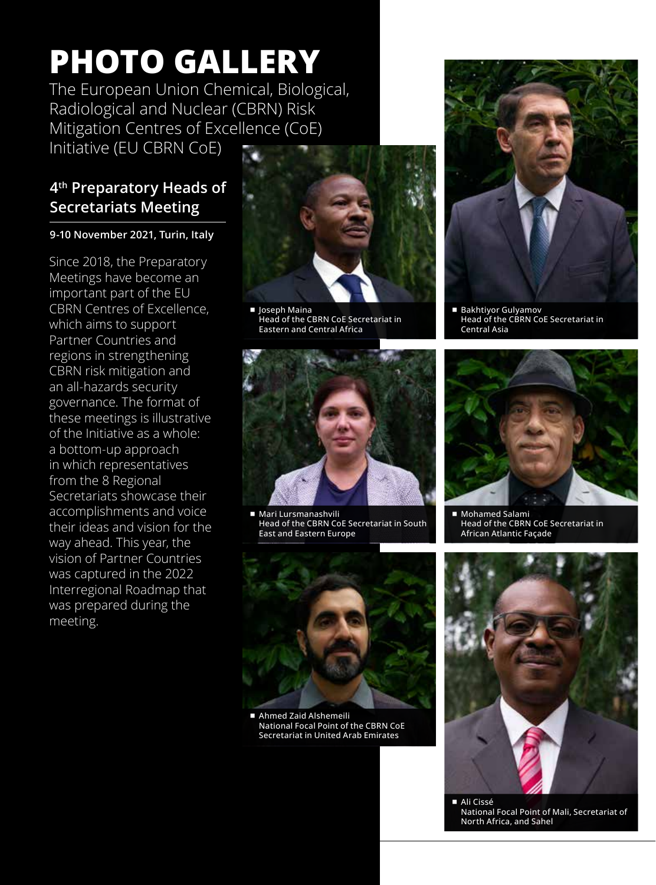# **PHOTO GALLERY**

The European Union Chemical, Biological, Radiological and Nuclear (CBRN) Risk Mitigation Centres of Excellence (CoE) Initiative (EU CBRN CoE)

# **4th Preparatory Heads of Secretariats Meeting**

#### **9-10 November 2021, Turin, Italy**

Since 2018, the Preparatory Meetings have become an important part of the EU CBRN Centres of Excellence, which aims to support Partner Countries and regions in strengthening CBRN risk mitigation and an all-hazards security governance. The format of these meetings is illustrative of the Initiative as a whole: a bottom-up approach in which representatives from the 8 Regional Secretariats showcase their accomplishments and voice their ideas and vision for the way ahead. This year, the vision of Partner Countries was captured in the 2022 Interregional Roadmap that was prepared during the meeting.



■ Joseph Maina Head of the CBRN CoE Secretariat in Eastern and Central Africa



■ Mari Lursmanashvili Head of the CBRN CoE Secretariat in South East and Eastern Europe



■ Ahmed Zaid Alshemeili National Focal Point of the CBRN CoE Secretariat in United Arab Emirates



■ Bakhtiyor Gulyamov Head of the CBRN CoE Secretariat in Central Asia



■ Mohamed Salami Head of the CBRN CoE Secretariat in African Atlantic Façade



¾ Ali Cissé National Focal Point of Mali, Secretariat of North Africa, and Sahel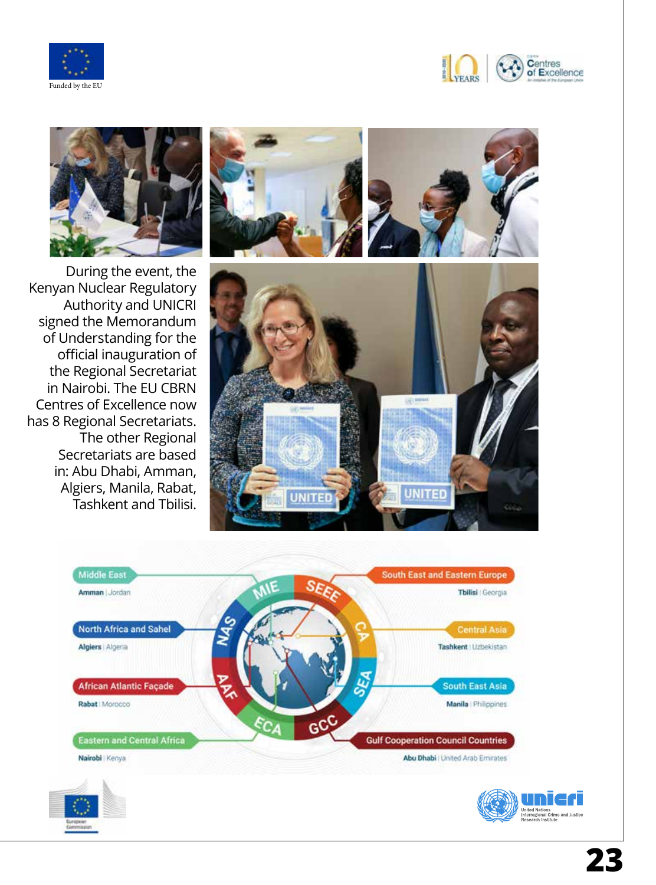







During the event, the Kenyan Nuclear Regulatory Authority and UNICRI signed the Memorandum of Understanding for the official inauguration of the Regional Secretariat in Nairobi. The EU CBRN Centres of Excellence now has 8 Regional Secretariats. The other Regional Secretariats are based in: Abu Dhabi, Amman, Algiers, Manila, Rabat, Tashkent and Tbilisi.



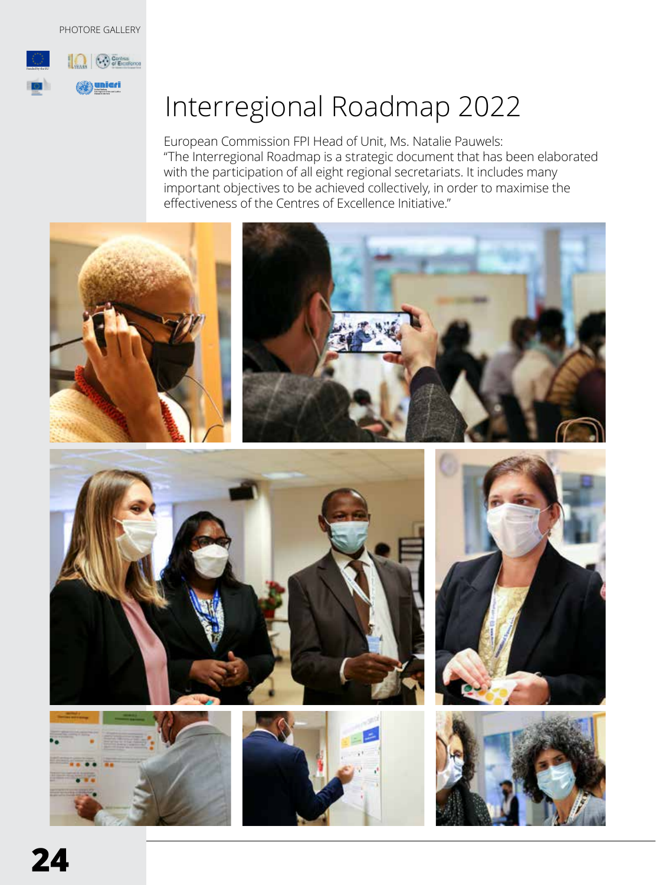#### PHOTORE GALLERY



# Interregional Roadmap 2022

European Commission FPI Head of Unit, Ms. Natalie Pauwels: "The Interregional Roadmap is a strategic document that has been elaborated with the participation of all eight regional secretariats. It includes many important objectives to be achieved collectively, in order to maximise the effectiveness of the Centres of Excellence Initiative."

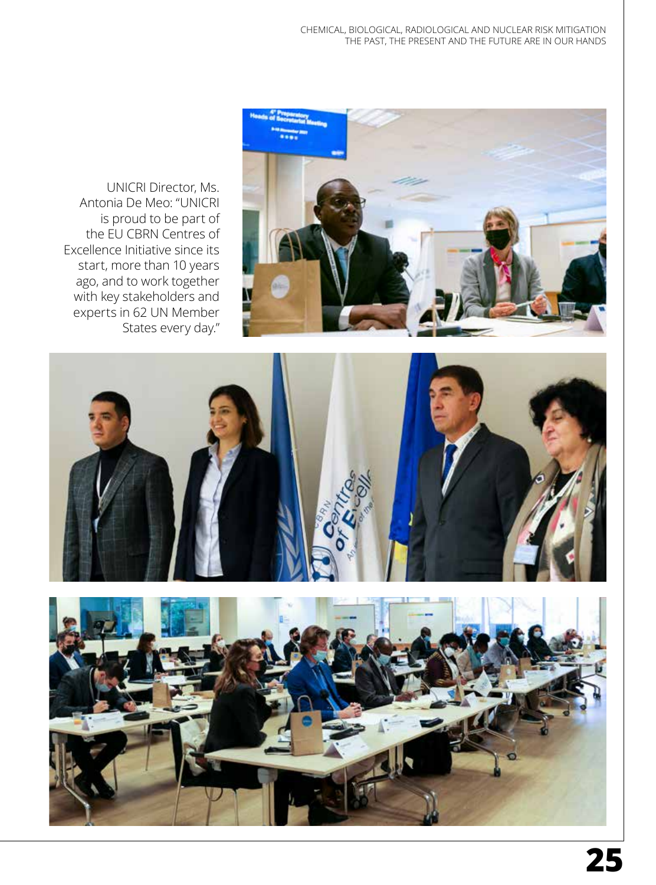UNICRI Director, Ms. Antonia De Meo: "UNICRI is proud to be part of the EU CBRN Centres of Excellence Initiative since its start, more than 10 years ago, and to work together with key stakeholders and experts in 62 UN Member States every day."





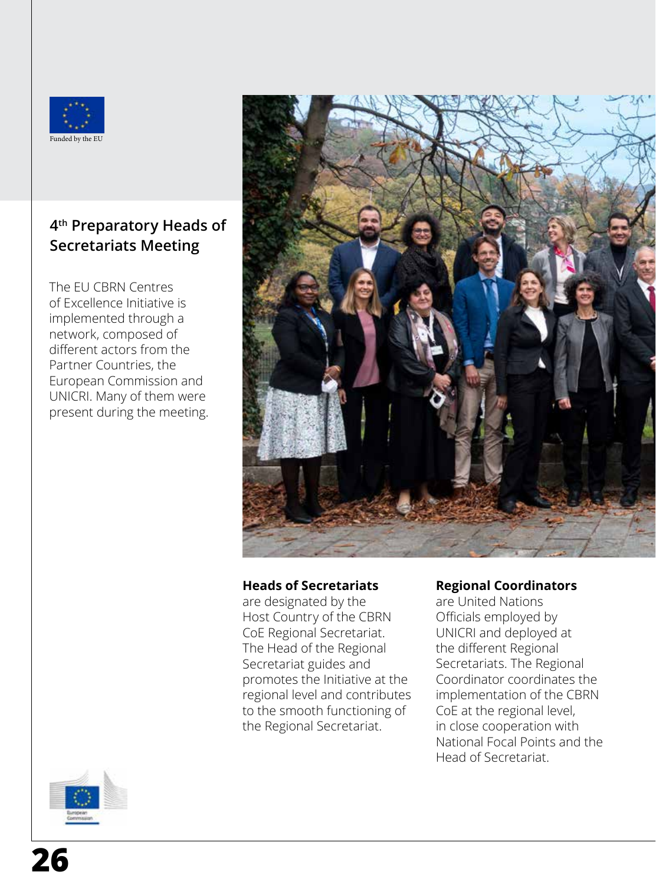

### **4th Preparatory Heads of Secretariats Meeting**

The EU CBRN Centres of Excellence Initiative is implemented through a network, composed of different actors from the Partner Countries, the European Commission and UNICRI. Many of them were present during the meeting.



#### **Heads of Secretariats**

are designated by the Host Country of the CBRN CoE Regional Secretariat. The Head of the Regional Secretariat guides and promotes the Initiative at the regional level and contributes to the smooth functioning of the Regional Secretariat.

#### **Regional Coordinators**

are United Nations Officials employed by UNICRI and deployed at the different Regional Secretariats. The Regional Coordinator coordinates the implementation of the CBRN CoE at the regional level, in close cooperation with National Focal Points and the Head of Secretariat.